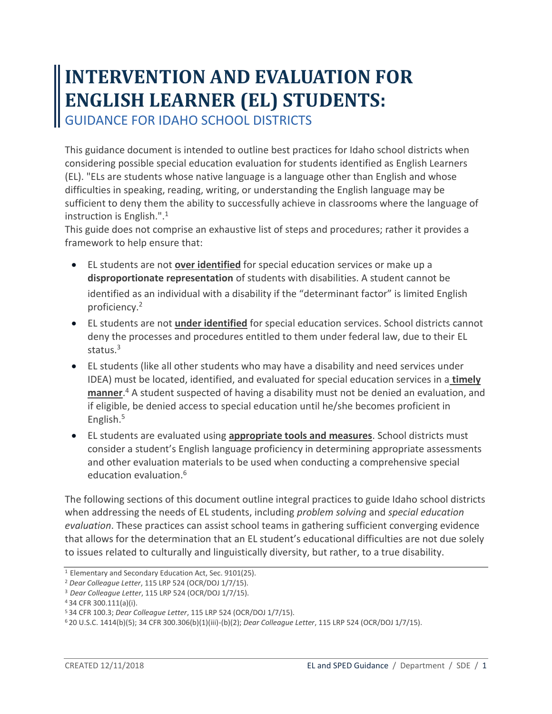# **INTERVENTION AND EVALUATION FOR ENGLISH LEARNER (EL) STUDENTS:**  GUIDANCE FOR IDAHO SCHOOL DISTRICTS

This guidance document is intended to outline best practices for Idaho school districts when considering possible special education evaluation for students identified as English Learners (EL). "ELs are students whose native language is a language other than English and whose difficulties in speaking, reading, writing, or understanding the English language may be sufficient to deny them the ability to successfully achieve in classrooms where the language of instruction is English.".<sup>1</sup>

This guide does not comprise an exhaustive list of steps and procedures; rather it provides a framework to help ensure that:

- EL students are not **over identified** for special education services or make up a **disproportionate representation** of students with disabilities. A student cannot be identified as an individual with a disability if the "determinant factor" is limited English proficiency.<sup>2</sup>
- EL students are not **under identified** for special education services. School districts cannot deny the processes and procedures entitled to them under federal law, due to their EL status.<sup>3</sup>
- EL students (like all other students who may have a disability and need services under IDEA) must be located, identified, and evaluated for special education services in a **timely manner**. <sup>4</sup> A student suspected of having a disability must not be denied an evaluation, and if eligible, be denied access to special education until he/she becomes proficient in English.<sup>5</sup>
- EL students are evaluated using **appropriate tools and measures**. School districts must consider a student's English language proficiency in determining appropriate assessments and other evaluation materials to be used when conducting a comprehensive special education evaluation.<sup>6</sup>

The following sections of this document outline integral practices to guide Idaho school districts when addressing the needs of EL students, including *problem solving* and *special education evaluation*. These practices can assist school teams in gathering sufficient converging evidence that allows for the determination that an EL student's educational difficulties are not due solely to issues related to culturally and linguistically diversity, but rather, to a true disability.

<sup>&</sup>lt;sup>1</sup> Elementary and Secondary Education Act, Sec. 9101(25).

<sup>2</sup> *Dear Colleague Letter*, 115 LRP 524 (OCR/DOJ 1/7/15).

<sup>3</sup>*Dear Colleague Letter*, 115 LRP 524 (OCR/DOJ 1/7/15).

<sup>4</sup>34 CFR 300.111(a)(i).

<sup>5</sup>34 CFR 100.3; *Dear Colleague Letter*, 115 LRP 524 (OCR/DOJ 1/7/15).

<sup>6</sup> 20 U.S.C. 1414(b)(5); 34 CFR 300.306(b)(1)(iii)-(b)(2); *Dear Colleague Letter*, 115 LRP 524 (OCR/DOJ 1/7/15).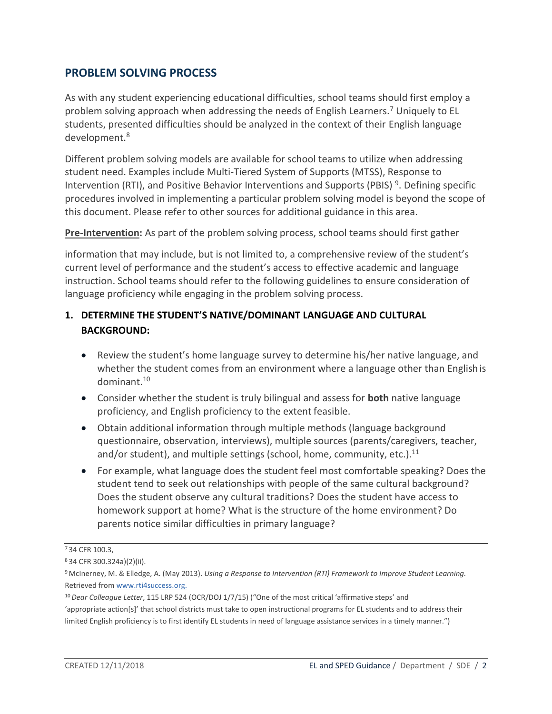#### **PROBLEM SOLVING PROCESS**

As with any student experiencing educational difficulties, school teams should first employ a problem solving approach when addressing the needs of English Learners.<sup>7</sup> Uniquely to EL students, presented difficulties should be analyzed in the context of their English language development.<sup>8</sup>

Different problem solving models are available for school teams to utilize when addressing student need. Examples include Multi-Tiered System of Supports (MTSS), Response to Intervention (RTI), and Positive Behavior Interventions and Supports (PBIS)<sup>9</sup>. Defining specific procedures involved in implementing a particular problem solving model is beyond the scope of this document. Please refer to other sources for additional guidance in this area.

**Pre-Intervention:** As part of the problem solving process, school teams should first gather

information that may include, but is not limited to, a comprehensive review of the student's current level of performance and the student's access to effective academic and language instruction. School teams should refer to the following guidelines to ensure consideration of language proficiency while engaging in the problem solving process.

#### **1. DETERMINE THE STUDENT'S NATIVE/DOMINANT LANGUAGE AND CULTURAL BACKGROUND:**

- Review the student's home language survey to determine his/her native language, and whether the student comes from an environment where a language other than Englishis dominant.<sup>10</sup>
- Consider whether the student is truly bilingual and assess for **both** native language proficiency, and English proficiency to the extent feasible.
- Obtain additional information through multiple methods (language background questionnaire, observation, interviews), multiple sources (parents/caregivers, teacher, and/or student), and multiple settings (school, home, community, etc.). $^{11}$
- For example, what language does the student feel most comfortable speaking? Does the student tend to seek out relationships with people of the same cultural background? Does the student observe any cultural traditions? Does the student have access to homework support at home? What is the structure of the home environment? Do parents notice similar difficulties in primary language?

<sup>7</sup>34 CFR 100.3,

<sup>8</sup>34 CFR 300.324a)(2)(ii).

<sup>9</sup>McInerney, M. & Elledge, A. (May 2013). *Using a Response to Intervention (RTI) Framework to Improve Student Learning.*  Retrieved fro[m www.rti4success.org.](http://www.rti4success.org/)

<sup>10</sup>*Dear Colleague Letter*, 115 LRP 524 (OCR/DOJ 1/7/15) ("One of the most critical 'affirmative steps' and 'appropriate action[s]' that school districts must take to open instructional programs for EL students and to address their limited English proficiency is to first identify EL students in need of language assistance services in a timely manner.")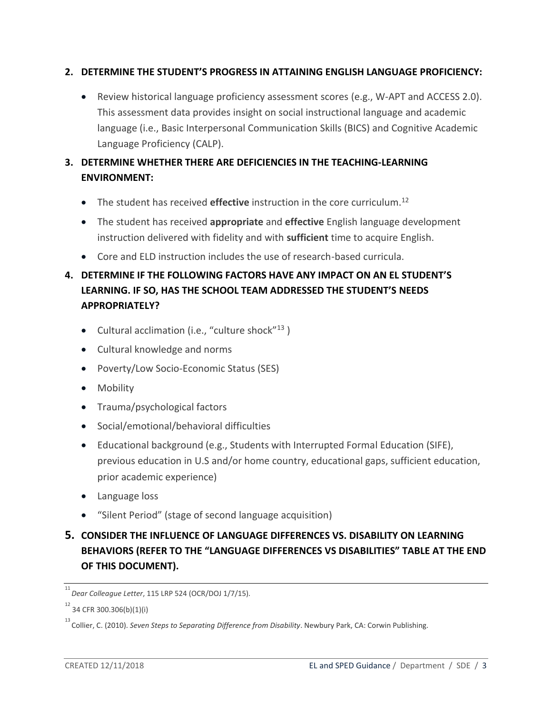#### **2. DETERMINE THE STUDENT'S PROGRESS IN ATTAINING ENGLISH LANGUAGE PROFICIENCY:**

 Review historical language proficiency assessment scores (e.g., W-APT and ACCESS 2.0). This assessment data provides insight on social instructional language and academic language (i.e., Basic Interpersonal Communication Skills (BICS) and Cognitive Academic Language Proficiency (CALP).

### **3. DETERMINE WHETHER THERE ARE DEFICIENCIES IN THE TEACHING-LEARNING ENVIRONMENT:**

- The student has received **effective** instruction in the core curriculum.<sup>12</sup>
- The student has received **appropriate** and **effective** English language development instruction delivered with fidelity and with **sufficient** time to acquire English.
- Core and ELD instruction includes the use of research-based curricula.

# **4. DETERMINE IF THE FOLLOWING FACTORS HAVE ANY IMPACT ON AN EL STUDENT'S LEARNING. IF SO, HAS THE SCHOOL TEAM ADDRESSED THE STUDENT'S NEEDS APPROPRIATELY?**

- $\bullet$  Cultural acclimation (i.e., "culture shock"<sup>13</sup>)
- Cultural knowledge and norms
- Poverty/Low Socio-Economic Status (SES)
- Mobility
- Trauma/psychological factors
- Social/emotional/behavioral difficulties
- Educational background (e.g., Students with Interrupted Formal Education (SIFE), previous education in U.S and/or home country, educational gaps, sufficient education, prior academic experience)
- Language loss
- "Silent Period" (stage of second language acquisition)
- **5. CONSIDER THE INFLUENCE OF LANGUAGE DIFFERENCES VS. DISABILITY ON LEARNING BEHAVIORS (REFER TO THE "LANGUAGE DIFFERENCES VS DISABILITIES" TABLE AT THE END OF THIS DOCUMENT).**

<sup>11</sup>  *Dear Colleague Letter*, 115 LRP 524 (OCR/DOJ 1/7/15).

 $12$  34 CFR 300.306(b)(1)(i)

<sup>13</sup>  Collier, C. (2010). *Seven Steps to Separating Difference from Disability*. Newbury Park, CA: Corwin Publishing.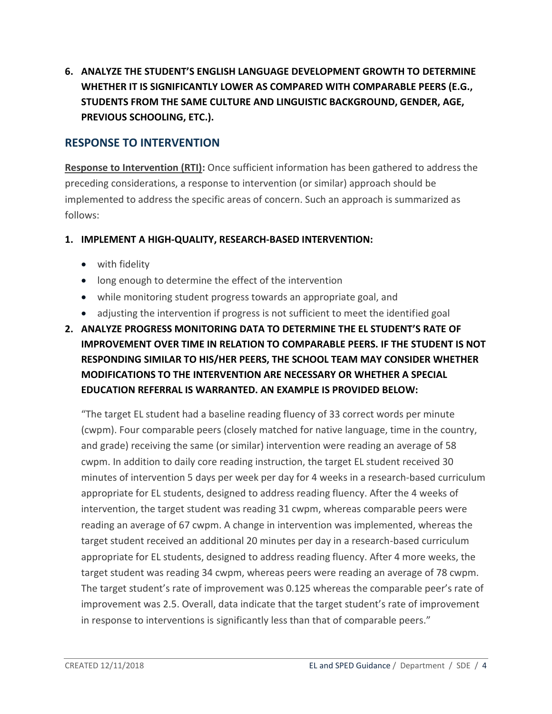**6. ANALYZE THE STUDENT'S ENGLISH LANGUAGE DEVELOPMENT GROWTH TO DETERMINE WHETHER IT IS SIGNIFICANTLY LOWER AS COMPARED WITH COMPARABLE PEERS (E.G., STUDENTS FROM THE SAME CULTURE AND LINGUISTIC BACKGROUND, GENDER, AGE, PREVIOUS SCHOOLING, ETC.).**

### **RESPONSE TO INTERVENTION**

**Response to Intervention (RTI):** Once sufficient information has been gathered to address the preceding considerations, a response to intervention (or similar) approach should be implemented to address the specific areas of concern. Such an approach is summarized as follows:

#### **1. IMPLEMENT A HIGH-QUALITY, RESEARCH-BASED INTERVENTION:**

- with fidelity
- long enough to determine the effect of the intervention
- while monitoring student progress towards an appropriate goal, and
- adjusting the intervention if progress is not sufficient to meet the identified goal
- **2. ANALYZE PROGRESS MONITORING DATA TO DETERMINE THE EL STUDENT'S RATE OF IMPROVEMENT OVER TIME IN RELATION TO COMPARABLE PEERS. IF THE STUDENT IS NOT RESPONDING SIMILAR TO HIS/HER PEERS, THE SCHOOL TEAM MAY CONSIDER WHETHER MODIFICATIONS TO THE INTERVENTION ARE NECESSARY OR WHETHER A SPECIAL EDUCATION REFERRAL IS WARRANTED. AN EXAMPLE IS PROVIDED BELOW:**

"The target EL student had a baseline reading fluency of 33 correct words per minute (cwpm). Four comparable peers (closely matched for native language, time in the country, and grade) receiving the same (or similar) intervention were reading an average of 58 cwpm. In addition to daily core reading instruction, the target EL student received 30 minutes of intervention 5 days per week per day for 4 weeks in a research-based curriculum appropriate for EL students, designed to address reading fluency. After the 4 weeks of intervention, the target student was reading 31 cwpm, whereas comparable peers were reading an average of 67 cwpm. A change in intervention was implemented, whereas the target student received an additional 20 minutes per day in a research-based curriculum appropriate for EL students, designed to address reading fluency. After 4 more weeks, the target student was reading 34 cwpm, whereas peers were reading an average of 78 cwpm. The target student's rate of improvement was 0.125 whereas the comparable peer's rate of improvement was 2.5. Overall, data indicate that the target student's rate of improvement in response to interventions is significantly less than that of comparable peers."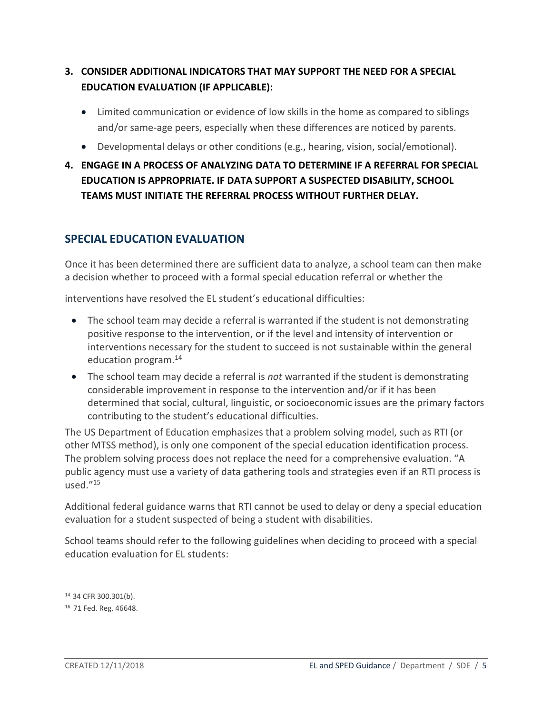### **3. CONSIDER ADDITIONAL INDICATORS THAT MAY SUPPORT THE NEED FOR A SPECIAL EDUCATION EVALUATION (IF APPLICABLE):**

- Limited communication or evidence of low skills in the home as compared to siblings and/or same-age peers, especially when these differences are noticed by parents.
- Developmental delays or other conditions (e.g., hearing, vision, social/emotional).
- **4. ENGAGE IN A PROCESS OF ANALYZING DATA TO DETERMINE IF A REFERRAL FOR SPECIAL EDUCATION IS APPROPRIATE. IF DATA SUPPORT A SUSPECTED DISABILITY, SCHOOL TEAMS MUST INITIATE THE REFERRAL PROCESS WITHOUT FURTHER DELAY.**

# **SPECIAL EDUCATION EVALUATION**

Once it has been determined there are sufficient data to analyze, a school team can then make a decision whether to proceed with a formal special education referral or whether the

interventions have resolved the EL student's educational difficulties:

- The school team may decide a referral is warranted if the student is not demonstrating positive response to the intervention, or if the level and intensity of intervention or interventions necessary for the student to succeed is not sustainable within the general education program.<sup>14</sup>
- The school team may decide a referral is *not* warranted if the student is demonstrating considerable improvement in response to the intervention and/or if it has been determined that social, cultural, linguistic, or socioeconomic issues are the primary factors contributing to the student's educational difficulties.

The US Department of Education emphasizes that a problem solving model, such as RTI (or other MTSS method), is only one component of the special education identification process. The problem solving process does not replace the need for a comprehensive evaluation. "A public agency must use a variety of data gathering tools and strategies even if an RTI process is  $used.^{"15}$ 

Additional federal guidance warns that RTI cannot be used to delay or deny a special education evaluation for a student suspected of being a student with disabilities.

School teams should refer to the following guidelines when deciding to proceed with a special education evaluation for EL students:

<sup>14 34</sup> CFR 300.301(b).

<sup>16</sup> 71 Fed. Reg. 46648.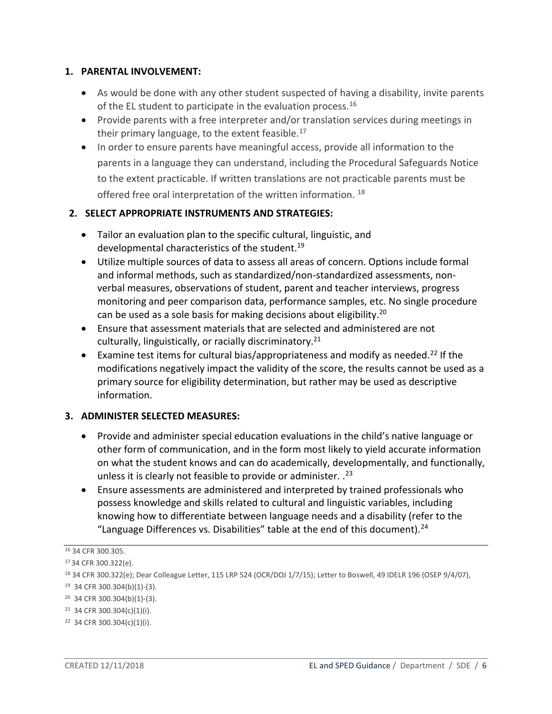#### **1. PARENTAL INVOLVEMENT:**

- As would be done with any other student suspected of having a disability, invite parents of the EL student to participate in the evaluation process.<sup>16</sup>
- Provide parents with a free interpreter and/or translation services during meetings in their primary language, to the extent feasible. $^{17}$
- In order to ensure parents have meaningful access, provide all information to the parents in a language they can understand, including the Procedural Safeguards Notice to the extent practicable. If written translations are not practicable parents must be offered free oral interpretation of the written information.<sup>18</sup>

#### **2. SELECT APPROPRIATE INSTRUMENTS AND STRATEGIES:**

- Tailor an evaluation plan to the specific cultural, linguistic, and developmental characteristics of the student.<sup>19</sup>
- Utilize multiple sources of data to assess all areas of concern. Options include formal and informal methods, such as standardized/non-standardized assessments, nonverbal measures, observations of student, parent and teacher interviews, progress monitoring and peer comparison data, performance samples, etc. No single procedure can be used as a sole basis for making decisions about eligibility.<sup>20</sup>
- Ensure that assessment materials that are selected and administered are not culturally, linguistically, or racially discriminatory.<sup>21</sup>
- Examine test items for cultural bias/appropriateness and modify as needed.<sup>22</sup> If the modifications negatively impact the validity of the score, the results cannot be used as a primary source for eligibility determination, but rather may be used as descriptive information.

#### **3. ADMINISTER SELECTED MEASURES:**

- Provide and administer special education evaluations in the child's native language or other form of communication, and in the form most likely to yield accurate information on what the student knows and can do academically, developmentally, and functionally, unless it is clearly not feasible to provide or administer. .<sup>23</sup>
- Ensure assessments are administered and interpreted by trained professionals who possess knowledge and skills related to cultural and linguistic variables, including knowing how to differentiate between language needs and a disability (refer to the "Language Differences vs. Disabilities" table at the end of this document). $^{24}$

<sup>16</sup> 34 CFR 300.305.

<sup>17</sup>34 CFR 300.322(e).

<sup>18</sup> 34 CFR 300.322(e); Dear Colleague Letter, 115 LRP 524 (OCR/DOJ 1/7/15); Letter to Boswell, 49 IDELR 196 (OSEP 9/4/07), 19 34 CFR 300.304(b)(1)-(3).

<sup>20</sup> 34 CFR 300.304(b)(1)-(3).

<sup>21</sup> 34 CFR 300.304(c)(1)(i).

<sup>22</sup> 34 CFR 300.304(c)(1)(i).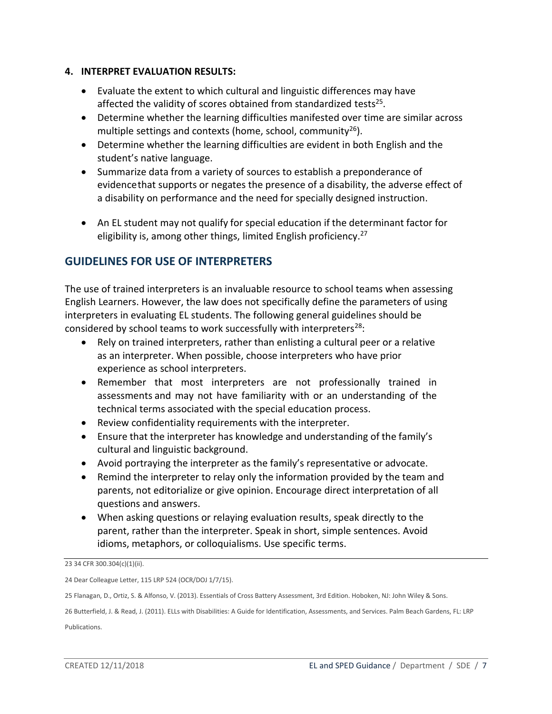#### **4. INTERPRET EVALUATION RESULTS:**

- Evaluate the extent to which cultural and linguistic differences may have affected the validity of scores obtained from standardized tests<sup>25</sup>.
- Determine whether the learning difficulties manifested over time are similar across multiple settings and contexts (home, school, community $^{26}$ ).
- Determine whether the learning difficulties are evident in both English and the student's native language.
- Summarize data from a variety of sources to establish a preponderance of evidencethat supports or negates the presence of a disability, the adverse effect of a disability on performance and the need for specially designed instruction.
- An EL student may not qualify for special education if the determinant factor for eligibility is, among other things, limited English proficiency.<sup>27</sup>

### **GUIDELINES FOR USE OF INTERPRETERS**

The use of trained interpreters is an invaluable resource to school teams when assessing English Learners. However, the law does not specifically define the parameters of using interpreters in evaluating EL students. The following general guidelines should be considered by school teams to work successfully with interpreters<sup>28</sup>:

- Rely on trained interpreters, rather than enlisting a cultural peer or a relative as an interpreter. When possible, choose interpreters who have prior experience as school interpreters.
- Remember that most interpreters are not professionally trained in assessments and may not have familiarity with or an understanding of the technical terms associated with the special education process.
- Review confidentiality requirements with the interpreter.
- Ensure that the interpreter has knowledge and understanding of the family's cultural and linguistic background.
- Avoid portraying the interpreter as the family's representative or advocate.
- Remind the interpreter to relay only the information provided by the team and parents, not editorialize or give opinion. Encourage direct interpretation of all questions and answers.
- When asking questions or relaying evaluation results, speak directly to the parent, rather than the interpreter. Speak in short, simple sentences. Avoid idioms, metaphors, or colloquialisms. Use specific terms.

23 34 CFR 300.304(c)(1)(ii).

25 Flanagan, D., Ortiz, S. & Alfonso, V. (2013). Essentials of Cross Battery Assessment, 3rd Edition. Hoboken, NJ: John Wiley & Sons.

26 Butterfield, J. & Read, J. (2011). ELLs with Disabilities: A Guide for Identification, Assessments, and Services. Palm Beach Gardens, FL: LRP Publications.

<sup>24</sup> Dear Colleague Letter, 115 LRP 524 (OCR/DOJ 1/7/15).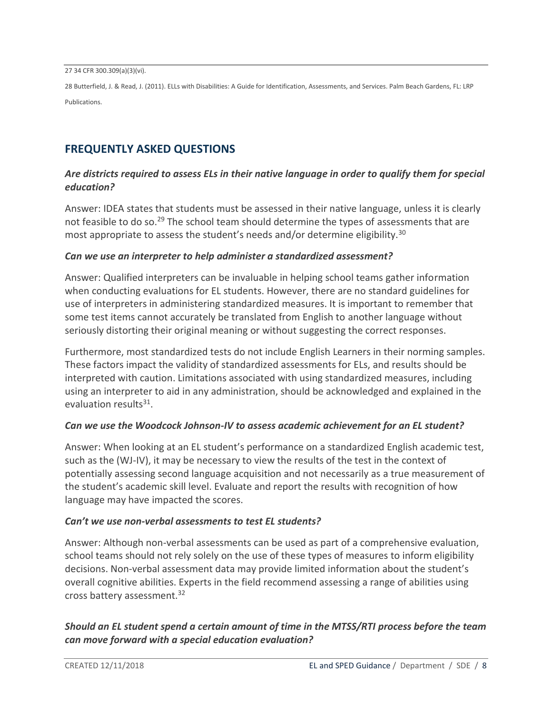27 34 CFR 300.309(a)(3)(vi).

28 Butterfield, J. & Read, J. (2011). ELLs with Disabilities: A Guide for Identification, Assessments, and Services. Palm Beach Gardens, FL: LRP Publications.

## **FREQUENTLY ASKED QUESTIONS**

#### *Are districts required to assess ELs in their native language in order to qualify them for special education?*

Answer: IDEA states that students must be assessed in their native language, unless it is clearly not feasible to do so.<sup>29</sup> The school team should determine the types of assessments that are most appropriate to assess the student's needs and/or determine eligibility.<sup>30</sup>

#### *Can we use an interpreter to help administer a standardized assessment?*

Answer: Qualified interpreters can be invaluable in helping school teams gather information when conducting evaluations for EL students. However, there are no standard guidelines for use of interpreters in administering standardized measures. It is important to remember that some test items cannot accurately be translated from English to another language without seriously distorting their original meaning or without suggesting the correct responses.

Furthermore, most standardized tests do not include English Learners in their norming samples. These factors impact the validity of standardized assessments for ELs, and results should be interpreted with caution. Limitations associated with using standardized measures, including using an interpreter to aid in any administration, should be acknowledged and explained in the evaluation results<sup>31</sup>.

#### *Can we use the Woodcock Johnson-IV to assess academic achievement for an EL student?*

Answer: When looking at an EL student's performance on a standardized English academic test, such as the (WJ-IV), it may be necessary to view the results of the test in the context of potentially assessing second language acquisition and not necessarily as a true measurement of the student's academic skill level. Evaluate and report the results with recognition of how language may have impacted the scores.

#### *Can't we use non-verbal assessments to test EL students?*

Answer: Although non-verbal assessments can be used as part of a comprehensive evaluation, school teams should not rely solely on the use of these types of measures to inform eligibility decisions. Non-verbal assessment data may provide limited information about the student's overall cognitive abilities. Experts in the field recommend assessing a range of abilities using cross battery assessment.<sup>32</sup>

#### *Should an EL student spend a certain amount of time in the MTSS/RTI process before the team can move forward with a special education evaluation?*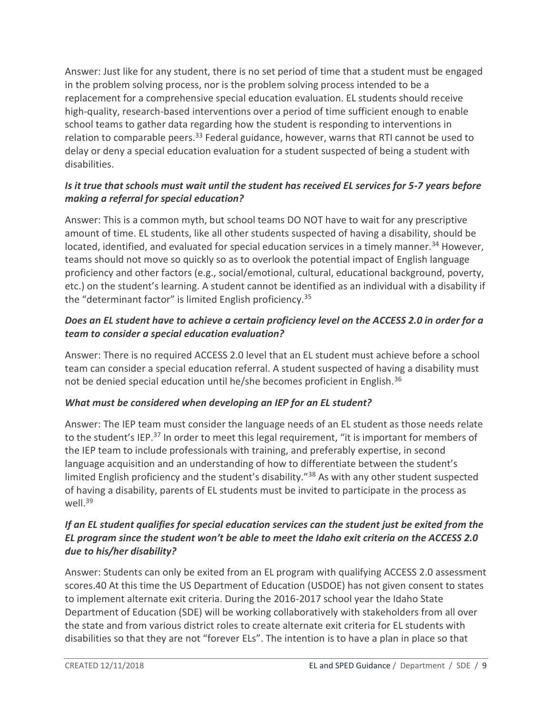Answer: Just like for any student, there is no set period of time that a student must be engaged in the problem solving process, nor is the problem solving process intended to be a replacement for a comprehensive special education evaluation. EL students should receive high-quality, research-based interventions over a period of time sufficient enough to enable school teams to gather data regarding how the student is responding to interventions in relation to comparable peers. $33$  Federal guidance, however, warns that RTI cannot be used to delay or deny a special education evaluation for a student suspected of being a student with disabilities.

#### *Is it true that schools must wait until the student has received EL services for 5-7 years before making a referral for special education?*

Answer: This is a common myth, but school teams DO NOT have to wait for any prescriptive amount of time. EL students, like all other students suspected of having a disability, should be located, identified, and evaluated for special education services in a timely manner.<sup>34</sup> However, teams should not move so quickly so as to overlook the potential impact of English language proficiency and other factors (e.g., social/emotional, cultural, educational background, poverty, etc.) on the student's learning. A student cannot be identified as an individual with a disability if the "determinant factor" is limited English proficiency.<sup>35</sup>

#### *Does an EL student have to achieve a certain proficiency level on the ACCESS 2.0 in order for a team to consider a special education evaluation?*

Answer: There is no required ACCESS 2.0 level that an EL student must achieve before a school team can consider a special education referral. A student suspected of having a disability must not be denied special education until he/she becomes proficient in English.<sup>36</sup>

#### *What must be considered when developing an IEP for an EL student?*

Answer: The IEP team must consider the language needs of an EL student as those needs relate to the student's IEP.<sup>37</sup> In order to meet this legal requirement, "it is important for members of the IEP team to include professionals with training, and preferably expertise, in second language acquisition and an understanding of how to differentiate between the student's limited English proficiency and the student's disability."<sup>38</sup> As with any other student suspected of having a disability, parents of EL students must be invited to participate in the process as well.<sup>39</sup>

#### *If an EL student qualifies for special education services can the student just be exited from the EL program since the student won't be able to meet the Idaho exit criteria on the ACCESS 2.0 due to his/her disability?*

Answer: Students can only be exited from an EL program with qualifying ACCESS 2.0 assessment scores.40 At this time the US Department of Education (USDOE) has not given consent to states to implement alternate exit criteria. During the 2016-2017 school year the Idaho State Department of Education (SDE) will be working collaboratively with stakeholders from all over the state and from various district roles to create alternate exit criteria for EL students with disabilities so that they are not "forever ELs". The intention is to have a plan in place so that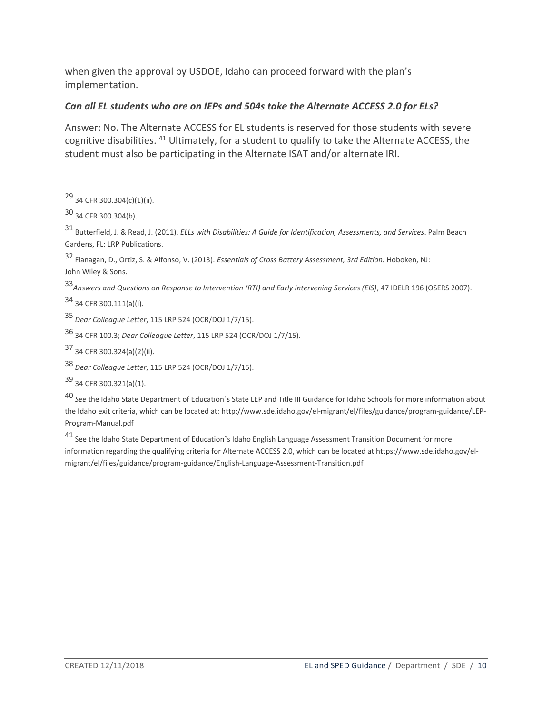when given the approval by USDOE, Idaho can proceed forward with the plan's implementation.

#### *Can all EL students who are on IEPs and 504s take the Alternate ACCESS 2.0 for ELs?*

Answer: No. The Alternate ACCESS for EL students is reserved for those students with severe cognitive disabilities. <sup>41</sup> Ultimately, for a student to qualify to take the Alternate ACCESS, the student must also be participating in the Alternate ISAT and/or alternate IRI.

31 Butterfield, J. & Read, J. (2011). *ELLs with Disabilities: A Guide for Identification, Assessments, and Services*. Palm Beach Gardens, FL: LRP Publications.

32 Flanagan, D., Ortiz, S. & Alfonso, V. (2013). *Essentials of Cross Battery Assessment, 3rd Edition.* Hoboken, NJ: John Wiley & Sons.

<sup>33</sup>*Answers and Questions on Response to Intervention (RTI) and Early Intervening Services (EIS)*, 47 IDELR 196 (OSERS 2007).

34 34 CFR 300.111(a)(i).

<sup>35</sup>*Dear Colleague Letter*, 115 LRP 524 (OCR/DOJ 1/7/15).

36 34 CFR 100.3; *Dear Colleague Letter*, 115 LRP 524 (OCR/DOJ 1/7/15).

37 34 CFR 300.324(a)(2)(ii).

<sup>38</sup>*Dear Colleague Letter*, 115 LRP 524 (OCR/DOJ 1/7/15).

39 34 CFR 300.321(a)(1).

<sup>40</sup>*See* the Idaho State Department of Education's State LEP and Title III Guidance for Idaho Schools for more information about the Idaho exit criteria, which can be located at[: http://www.sde.idaho.gov/el-m](http://www.sde.idaho.gov/el-)igrant/el/files/guidance/program-guidance/LEP-Program-Manual.pdf

41 See the Idaho State Department of Education's Idaho English Language Assessment Transition Document for more information regarding the qualifying criteria for Alternate ACCESS 2.0, which can be located at https:/[/www.sde.idaho.gov/el](http://www.sde.idaho.gov/el-migrant/el/files/guidance/program-guidance/English-Language-Assessment-)[migrant/el/files/guidance/program-guidance/English-Language-Assessment-T](http://www.sde.idaho.gov/el-migrant/el/files/guidance/program-guidance/English-Language-Assessment-)ransition.pdf

<sup>29 34</sup> CFR 300.304(c)(1)(ii).

<sup>30 34</sup> CFR 300.304(b).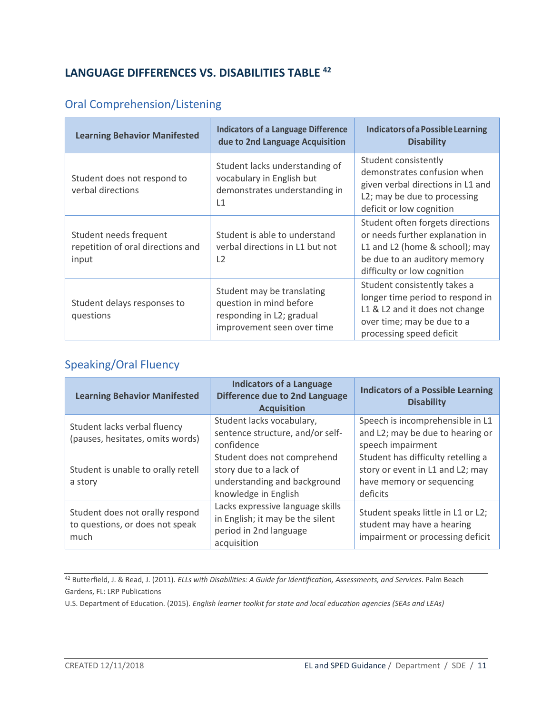# **LANGUAGE DIFFERENCES VS. DISABILITIES TABLE <sup>42</sup>**

# Oral Comprehension/Listening

| <b>Learning Behavior Manifested</b>                                  | <b>Indicators of a Language Difference</b><br>due to 2nd Language Acquisition                                    | Indicators of a Possible Learning<br><b>Disability</b>                                                                                                               |
|----------------------------------------------------------------------|------------------------------------------------------------------------------------------------------------------|----------------------------------------------------------------------------------------------------------------------------------------------------------------------|
| Student does not respond to<br>verbal directions                     | Student lacks understanding of<br>vocabulary in English but<br>demonstrates understanding in<br>L1               | Student consistently<br>demonstrates confusion when<br>given verbal directions in L1 and<br>L2; may be due to processing<br>deficit or low cognition                 |
| Student needs frequent<br>repetition of oral directions and<br>input | Student is able to understand<br>verbal directions in L1 but not<br>$\sqrt{2}$                                   | Student often forgets directions<br>or needs further explanation in<br>L1 and L2 (home & school); may<br>be due to an auditory memory<br>difficulty or low cognition |
| Student delays responses to<br>questions                             | Student may be translating<br>question in mind before<br>responding in L2; gradual<br>improvement seen over time | Student consistently takes a<br>longer time period to respond in<br>L1 & L2 and it does not change<br>over time; may be due to a<br>processing speed deficit         |

# Speaking/Oral Fluency

| <b>Learning Behavior Manifested</b>                                        | <b>Indicators of a Language</b><br><b>Difference due to 2nd Language</b><br><b>Acquisition</b>                | <b>Indicators of a Possible Learning</b><br><b>Disability</b>                                                   |
|----------------------------------------------------------------------------|---------------------------------------------------------------------------------------------------------------|-----------------------------------------------------------------------------------------------------------------|
| Student lacks verbal fluency<br>(pauses, hesitates, omits words)           | Student lacks vocabulary,<br>sentence structure, and/or self-<br>confidence                                   | Speech is incomprehensible in L1<br>and L2; may be due to hearing or<br>speech impairment                       |
| Student is unable to orally retell<br>a story                              | Student does not comprehend<br>story due to a lack of<br>understanding and background<br>knowledge in English | Student has difficulty retelling a<br>story or event in L1 and L2; may<br>have memory or sequencing<br>deficits |
| Student does not orally respond<br>to questions, or does not speak<br>much | Lacks expressive language skills<br>in English; it may be the silent<br>period in 2nd language<br>acquisition | Student speaks little in L1 or L2;<br>student may have a hearing<br>impairment or processing deficit            |

<sup>42</sup> Butterfield, J. & Read, J. (2011). *ELLs with Disabilities: A Guide for Identification, Assessments, and Services*. Palm Beach Gardens, FL: LRP Publications

U.S. Department of Education. (2015). *English learner toolkit for state and local education agencies (SEAs and LEAs)*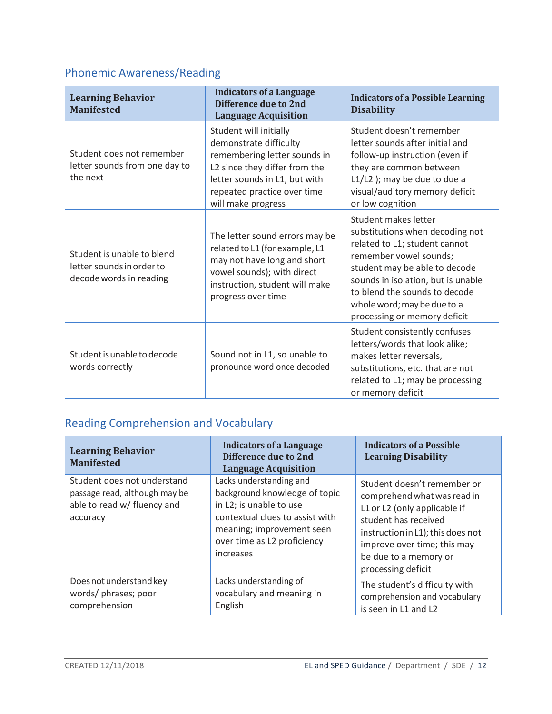# Phonemic Awareness/Reading

| <b>Learning Behavior</b><br><b>Manifested</b>                                      | <b>Indicators of a Language</b><br><b>Difference due to 2nd</b><br><b>Language Acquisition</b>                                                                                                          | <b>Indicators of a Possible Learning</b><br><b>Disability</b>                                                                                                                                                                                                                             |
|------------------------------------------------------------------------------------|---------------------------------------------------------------------------------------------------------------------------------------------------------------------------------------------------------|-------------------------------------------------------------------------------------------------------------------------------------------------------------------------------------------------------------------------------------------------------------------------------------------|
| Student does not remember<br>letter sounds from one day to<br>the next             | Student will initially<br>demonstrate difficulty<br>remembering letter sounds in<br>L2 since they differ from the<br>letter sounds in L1, but with<br>repeated practice over time<br>will make progress | Student doesn't remember<br>letter sounds after initial and<br>follow-up instruction (even if<br>they are common between<br>$L1/L2$ ); may be due to due a<br>visual/auditory memory deficit<br>or low cognition                                                                          |
| Student is unable to blend<br>letter sounds in order to<br>decode words in reading | The letter sound errors may be<br>related to L1 (for example, L1<br>may not have long and short<br>vowel sounds); with direct<br>instruction, student will make<br>progress over time                   | Student makes letter<br>substitutions when decoding not<br>related to L1; student cannot<br>remember vowel sounds;<br>student may be able to decode<br>sounds in isolation, but is unable<br>to blend the sounds to decode<br>whole word; may be due to a<br>processing or memory deficit |
| Student is unable to decode<br>words correctly                                     | Sound not in L1, so unable to<br>pronounce word once decoded                                                                                                                                            | Student consistently confuses<br>letters/words that look alike;<br>makes letter reversals,<br>substitutions, etc. that are not<br>related to L1; may be processing<br>or memory deficit                                                                                                   |

# Reading Comprehension and Vocabulary

| <b>Learning Behavior</b><br><b>Manifested</b>                                                           | <b>Indicators of a Language</b><br>Difference due to 2nd<br><b>Language Acquisition</b>                                                                                                         | <b>Indicators of a Possible</b><br><b>Learning Disability</b>                                                                                                                                                                         |
|---------------------------------------------------------------------------------------------------------|-------------------------------------------------------------------------------------------------------------------------------------------------------------------------------------------------|---------------------------------------------------------------------------------------------------------------------------------------------------------------------------------------------------------------------------------------|
| Student does not understand<br>passage read, although may be<br>able to read w/ fluency and<br>accuracy | Lacks understanding and<br>background knowledge of topic<br>in L2; is unable to use<br>contextual clues to assist with<br>meaning; improvement seen<br>over time as L2 proficiency<br>increases | Student doesn't remember or<br>comprehend what was read in<br>L1 or L2 (only applicable if<br>student has received<br>instruction in L1); this does not<br>improve over time; this may<br>be due to a memory or<br>processing deficit |
| Does not understand key<br>words/ phrases; poor<br>comprehension                                        | Lacks understanding of<br>vocabulary and meaning in<br>English                                                                                                                                  | The student's difficulty with<br>comprehension and vocabulary<br>is seen in L1 and L2                                                                                                                                                 |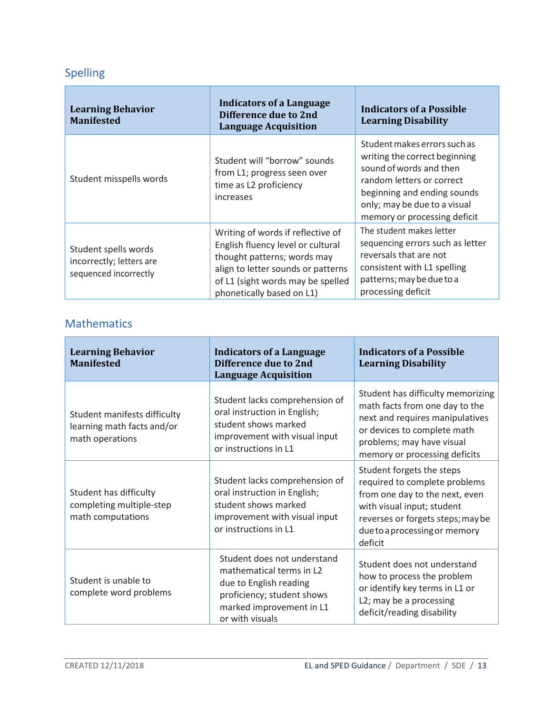# Spelling

Н

| <b>Learning Behavior</b><br><b>Manifested</b>                             | <b>Indicators of a Language</b><br>Difference due to 2nd<br><b>Language Acquisition</b>                                                                                                                       | <b>Indicators of a Possible</b><br><b>Learning Disability</b>                                                                                                                                                        |
|---------------------------------------------------------------------------|---------------------------------------------------------------------------------------------------------------------------------------------------------------------------------------------------------------|----------------------------------------------------------------------------------------------------------------------------------------------------------------------------------------------------------------------|
| Student misspells words                                                   | Student will "borrow" sounds<br>from L1; progress seen over<br>time as L2 proficiency<br>increases                                                                                                            | Student makes errors such as<br>writing the correct beginning<br>sound of words and then<br>random letters or correct<br>beginning and ending sounds<br>only; may be due to a visual<br>memory or processing deficit |
| Student spells words<br>incorrectly; letters are<br>sequenced incorrectly | Writing of words if reflective of<br>English fluency level or cultural<br>thought patterns; words may<br>align to letter sounds or patterns<br>of L1 (sight words may be spelled<br>phonetically based on L1) | The student makes letter<br>sequencing errors such as letter<br>reversals that are not<br>consistent with L1 spelling<br>patterns; may be due to a<br>processing deficit                                             |

# Mathematics

| <b>Learning Behavior</b><br><b>Manifested</b>                                 | <b>Indicators of a Language</b><br>Difference due to 2nd<br><b>Language Acquisition</b>                                                                        | <b>Indicators of a Possible</b><br><b>Learning Disability</b>                                                                                                                                               |
|-------------------------------------------------------------------------------|----------------------------------------------------------------------------------------------------------------------------------------------------------------|-------------------------------------------------------------------------------------------------------------------------------------------------------------------------------------------------------------|
| Student manifests difficulty<br>learning math facts and/or<br>math operations | Student lacks comprehension of<br>oral instruction in English;<br>student shows marked<br>improvement with visual input<br>or instructions in L1               | Student has difficulty memorizing<br>math facts from one day to the<br>next and requires manipulatives<br>or devices to complete math<br>problems; may have visual<br>memory or processing deficits         |
| Student has difficulty<br>completing multiple-step<br>math computations       | Student lacks comprehension of<br>oral instruction in English;<br>student shows marked<br>improvement with visual input<br>or instructions in L1               | Student forgets the steps<br>required to complete problems<br>from one day to the next, even<br>with visual input; student<br>reverses or forgets steps; may be<br>due to a processing or memory<br>deficit |
| Student is unable to<br>complete word problems                                | Student does not understand<br>mathematical terms in L2<br>due to English reading<br>proficiency; student shows<br>marked improvement in L1<br>or with visuals | Student does not understand<br>how to process the problem<br>or identify key terms in L1 or<br>L2; may be a processing<br>deficit/reading disability                                                        |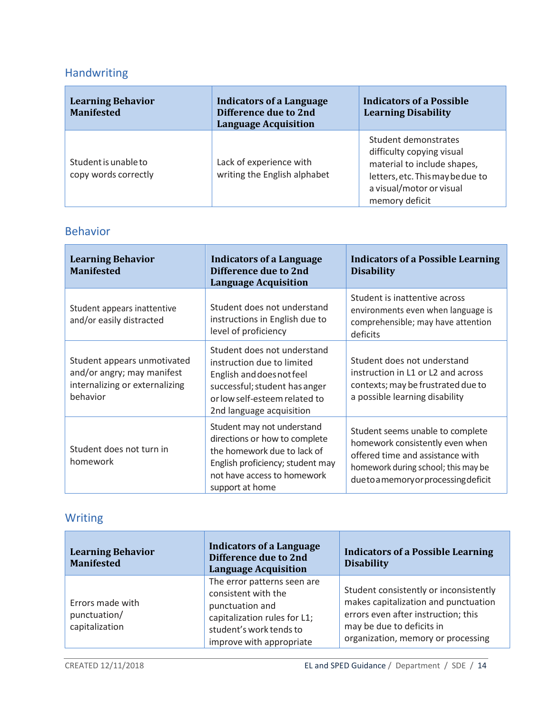# Handwriting

 $\blacksquare$ 

| <b>Learning Behavior</b><br><b>Manifested</b> | <b>Indicators of a Language</b><br>Difference due to 2nd<br><b>Language Acquisition</b> | <b>Indicators of a Possible</b><br><b>Learning Disability</b>                                                                                                      |
|-----------------------------------------------|-----------------------------------------------------------------------------------------|--------------------------------------------------------------------------------------------------------------------------------------------------------------------|
| Student is unable to<br>copy words correctly  | Lack of experience with<br>writing the English alphabet                                 | Student demonstrates<br>difficulty copying visual<br>material to include shapes,<br>letters, etc. This may be due to<br>a visual/motor or visual<br>memory deficit |

# Behavior

| <b>Learning Behavior</b><br><b>Manifested</b>                                                           | <b>Indicators of a Language</b><br>Difference due to 2nd<br><b>Language Acquisition</b>                                                                                              | <b>Indicators of a Possible Learning</b><br><b>Disability</b>                                                                                                                     |
|---------------------------------------------------------------------------------------------------------|--------------------------------------------------------------------------------------------------------------------------------------------------------------------------------------|-----------------------------------------------------------------------------------------------------------------------------------------------------------------------------------|
| Student appears inattentive<br>and/or easily distracted                                                 | Student does not understand<br>instructions in English due to<br>level of proficiency                                                                                                | Student is inattentive across<br>environments even when language is<br>comprehensible; may have attention<br>deficits                                                             |
| Student appears unmotivated<br>and/or angry; may manifest<br>internalizing or externalizing<br>behavior | Student does not understand<br>instruction due to limited<br>English and does not feel<br>successful; student has anger<br>or low self-esteem related to<br>2nd language acquisition | Student does not understand<br>instruction in L1 or L2 and across<br>contexts; may be frustrated due to<br>a possible learning disability                                         |
| Student does not turn in<br>homework                                                                    | Student may not understand<br>directions or how to complete<br>the homework due to lack of<br>English proficiency; student may<br>not have access to homework<br>support at home     | Student seems unable to complete<br>homework consistently even when<br>offered time and assistance with<br>homework during school; this may be<br>duetoamemoryorprocessingdeficit |

# Writing

F

| <b>Learning Behavior</b><br><b>Manifested</b>      | <b>Indicators of a Language</b><br>Difference due to 2nd<br><b>Language Acquisition</b>                                                                      | <b>Indicators of a Possible Learning</b><br><b>Disability</b>                                                                                                                            |
|----------------------------------------------------|--------------------------------------------------------------------------------------------------------------------------------------------------------------|------------------------------------------------------------------------------------------------------------------------------------------------------------------------------------------|
| Errors made with<br>punctuation/<br>capitalization | The error patterns seen are<br>consistent with the<br>punctuation and<br>capitalization rules for L1;<br>student's work tends to<br>improve with appropriate | Student consistently or inconsistently<br>makes capitalization and punctuation<br>errors even after instruction; this<br>may be due to deficits in<br>organization, memory or processing |